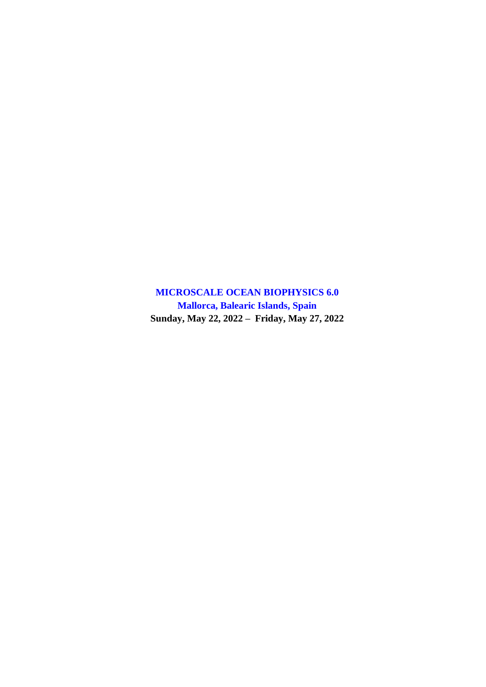**MICROSCALE OCEAN BIOPHYSICS 6.0 Mallorca, Balearic Islands, Spain Sunday, May 22, 2022 – Friday, May 27, 2022**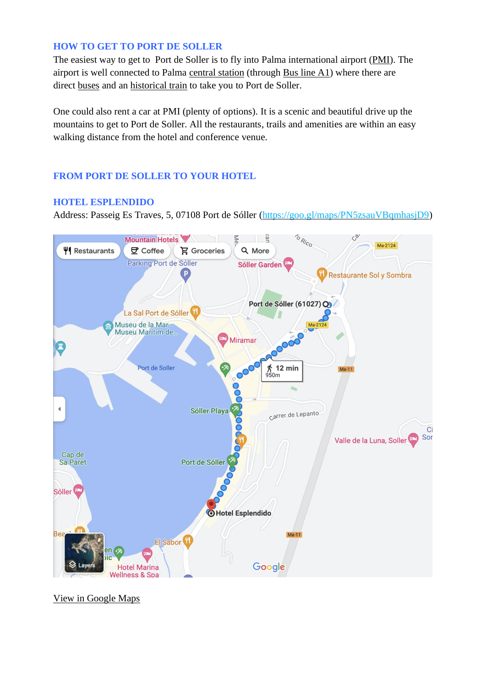### **HOW TO GET TO PORT DE SOLLER**

The easiest way to get to Port de Soller is to fly into Palma international airport [\(PMI\)](https://www.aena.es/en/palma-de-mallorca.html). The airport is well connected to Palma [central](https://www.tib.org/en/web/ctm/estacio-intermodal-palma) station (through [Bus](http://www.emtpalma.cat/en/route/-/L/17/aeroport-palma-centre) line  $A1$ ) where there are direct [buses](https://www.tib.org/en/web/ctm/autobus/linia/204) and an [historical](http://trendesoller.com/en/) train to take you to Port de Soller.

One could also rent a car at PMI (plenty of options). It is a scenic and beautiful drive up the mountains to get to Port de Soller. All the restaurants, trails and amenities are within an easy walking distance from the hotel and conference venue.

## **FROM PORT DE SOLLER TO YOUR HOTEL**

## **HOTEL ESPLENDIDO**

Address: Passeig Es Traves, 5, 07108 Port de Sóller [\(https://goo.gl/maps/PN5zsauVBqmhasjD9\)](https://goo.gl/maps/PN5zsauVBqmhasjD9)

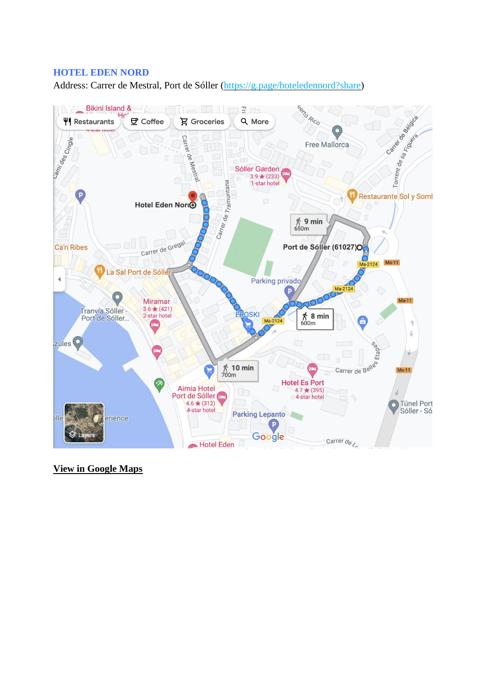## **HOTEL EDEN NORD**

Address: Carrer de Mestral, Port de Sóller [\(https://g.page/hoteledennord?share\)](https://g.page/hoteledennord?share)

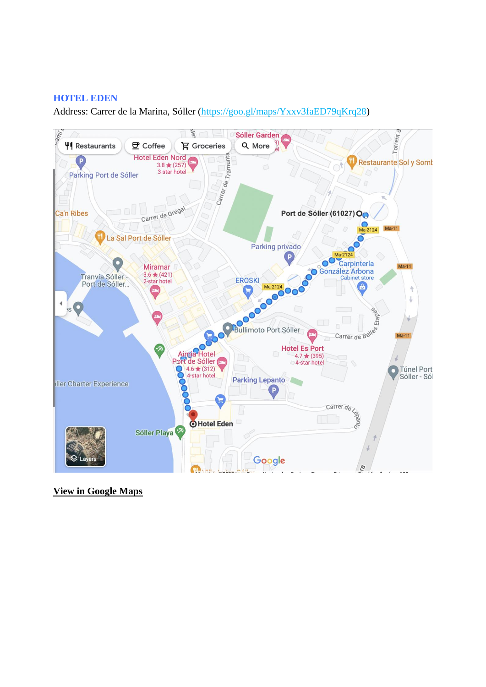## **HOTEL EDEN**

Address: Carrer de la Marina, Sóller [\(https://goo.gl/maps/Yxxv3faED79qKrq28\)](https://goo.gl/maps/Yxxv3faED79qKrq28)

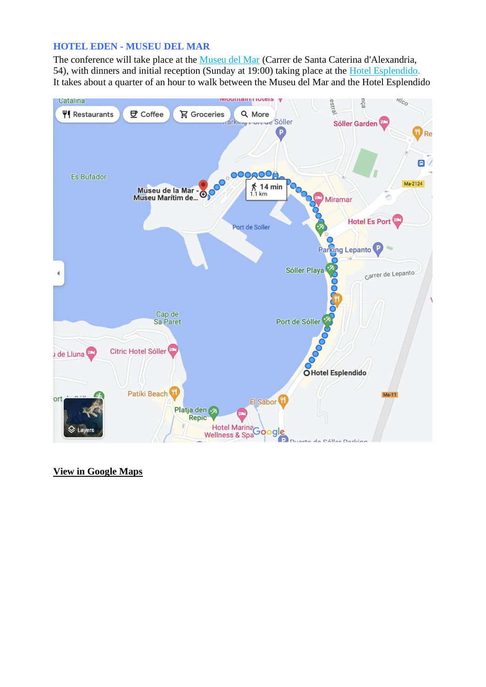### **HOTEL EDEN - MUSEU DEL MAR**

The conference will take place at the [Museu del Mar](https://goo.gl/maps/wxKoQG1SYWFJu11M6) (Carrer de Santa Caterina d'Alexandria, 54), with dinners and initial reception (Sunday at 19:00) taking place at the [Hotel Esplendido.](https://goo.gl/maps/vzPp6gJWyHf8h2rD7) It takes about a quarter of an hour to walk between the Museu del Mar and the Hotel Esplendido

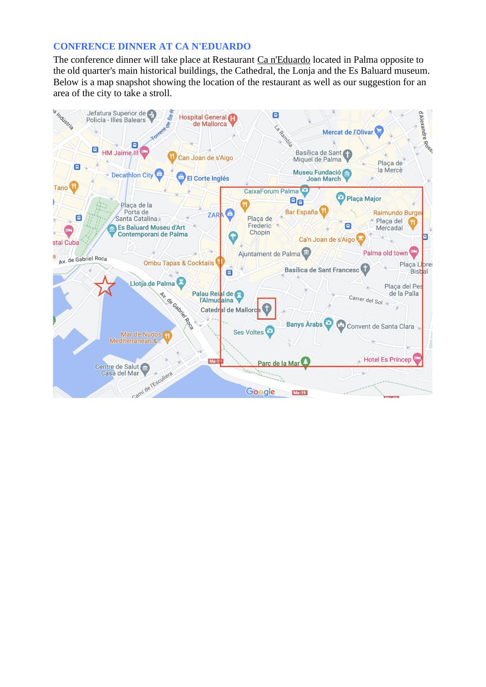### **CONFRENCE DINNER AT CA N'EDUARDO**

The conference dinner will take place at Restaurant [Ca n'Eduardo](https://g.page/CanEduardo?share) located in Palma opposite to the old quarter's main historical buildings, the Cathedral, the Lonja and the Es Baluard museum. Below is a map snapshot showing the location of the restaurant as well as our suggestion for an area of the city to take a stroll.

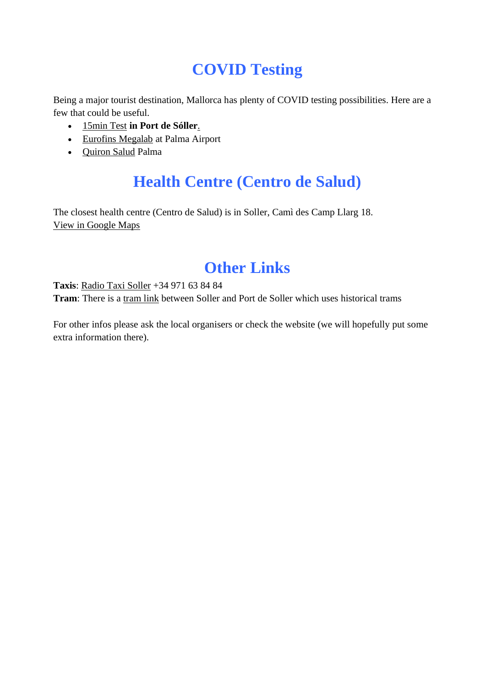# **COVID Testing**

Being a major tourist destination, Mallorca has plenty of COVID testing possibilities. Here are a few that could be useful.

- [15min](https://15minutetest.com/es/en/puerto-de-soller-test-centre) Test **in Port de Sóller**[.](https://15minutetest.com/es/en/puerto-de-soller-test-centre)
- Eurofins [Megalab](https://eurofins-megalab.com/en/eurofins-megalab-is-carrying-out-testing-for-covid-spanish-airports/) at Palma Airport
- [Quiron](https://e-quironsalud.es/26-test-covid?utm_source=google_sem&utm_medium=cpc&utm_campaign=E-QS_Pruebas_COVID19&utm_term=pcr%20test&utm_content=Genérica_COVID&gclid=EAIaIQobChMIyfuD2PDA9wIVn49oCR0bfQTlEAAYASAAEgI4bPD_BwE) Salud Palma

# **Health Centre (Centro de Salud)**

The closest health centre (Centro de Salud) is in Soller, Camì des Camp Llarg 18. View in [Google](https://www.google.es/maps/place/Centre+de+Salut+Sóller+Serra+Nord/@39.7597061,2.7071161,14z/data=!4m5!3m4!1s0x1297e8b833f2619d:0x6457ea9b39128ca6!8m2!3d39.7668715!4d2.7093898?hl=en) Maps

# **Other Links**

**Taxis**: Radio Taxi [Soller](https://www.google.es/maps/place/Ràdio+Taxi+Sóller/@39.7955368,2.6974054,17z/data=!4m5!3m4!1s0x1297e5e2cf9e4e0d:0x806d749f93d7349e!8m2!3d39.7965609!4d2.6966503?hl=en) +34 971 63 84 84

**Tram**: There is a [tram](https://trendesoller.com/eng/) link between Soller and Port de Soller which uses historical trams

For other infos please ask the local organisers or check the website (we will hopefully put some extra information there).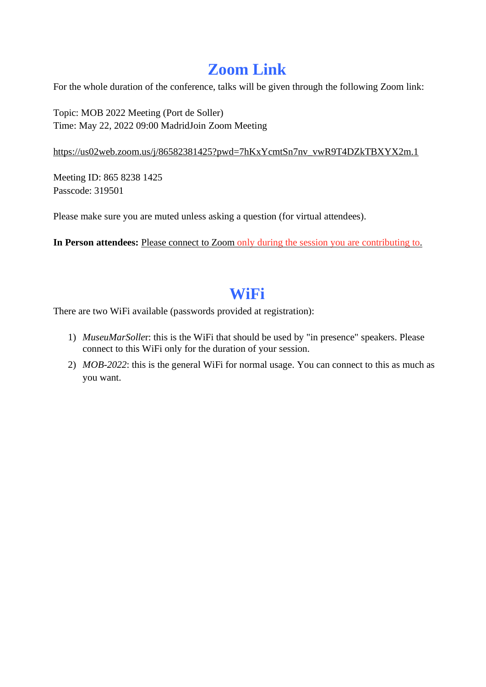# **Zoom Link**

For the whole duration of the conference, talks will be given through the following Zoom link:

Topic: MOB 2022 Meeting (Port de Soller) Time: May 22, 2022 09:00 MadridJoin Zoom Meeting

## [https://us02web.zoom.us/j/86582381425?pwd=7hKxYcmtSn7nv\\_vwR9T4DZkTBXYX2m.1](https://us02web.zoom.us/j/86582381425?pwd=7hKxYcmtSn7nv_vwR9T4DZkTBXYX2m.1)

Meeting ID: 865 8238 1425 Passcode: 319501

Please make sure you are muted unless asking a question (for virtual attendees).

**In Person attendees:** Please connect to Zoom only during the session you are contributing to.

# **WiFi**

There are two WiFi available (passwords provided at registration):

- 1) *MuseuMarSolle*r: this is the WiFi that should be used by "in presence" speakers. Please connect to this WiFi only for the duration of your session.
- 2) *MOB-2022*: this is the general WiFi for normal usage. You can connect to this as much as you want.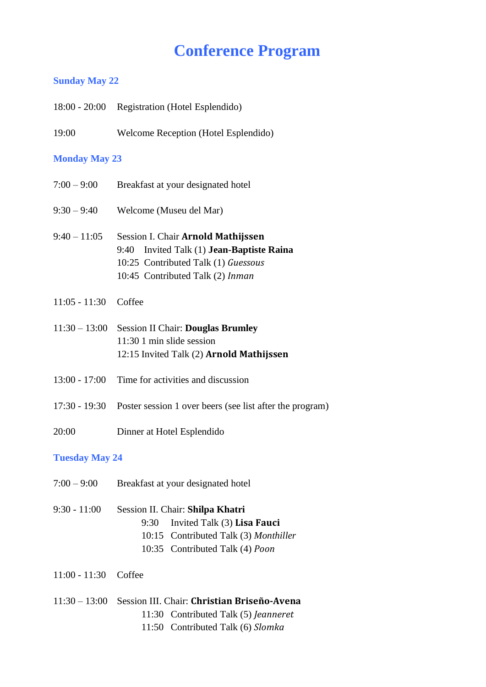# **Conference Program**

## **Sunday May 22**

|                        | 18:00 - 20:00 Registration (Hotel Esplendido)                                                                                                                 |  |
|------------------------|---------------------------------------------------------------------------------------------------------------------------------------------------------------|--|
| 19:00                  | Welcome Reception (Hotel Esplendido)                                                                                                                          |  |
| <b>Monday May 23</b>   |                                                                                                                                                               |  |
| $7:00 - 9:00$          | Breakfast at your designated hotel                                                                                                                            |  |
| $9:30 - 9:40$          | Welcome (Museu del Mar)                                                                                                                                       |  |
| $9:40 - 11:05$         | Session I. Chair Arnold Mathijssen<br>Invited Talk (1) Jean-Baptiste Raina<br>9:40<br>10:25 Contributed Talk (1) Guessous<br>10:45 Contributed Talk (2) Inman |  |
| $11:05 - 11:30$        | Coffee                                                                                                                                                        |  |
| $11:30 - 13:00$        | <b>Session II Chair: Douglas Brumley</b><br>11:30 1 min slide session<br>12:15 Invited Talk (2) Arnold Mathijssen                                             |  |
| $13:00 - 17:00$        | Time for activities and discussion                                                                                                                            |  |
| $17:30 - 19:30$        | Poster session 1 over beers (see list after the program)                                                                                                      |  |
| 20:00                  | Dinner at Hotel Esplendido                                                                                                                                    |  |
| <b>Tuesday May 24</b>  |                                                                                                                                                               |  |
| $7:00 - 9:00$          | Breakfast at your designated hotel                                                                                                                            |  |
| $9:30 - 11:00$         | Session II. Chair: Shilpa Khatri<br>Invited Talk (3) Lisa Fauci<br>9:30<br>10:15 Contributed Talk (3) Monthiller<br>10:35 Contributed Talk (4) Poon           |  |
| $11:00 - 11:30$ Coffee |                                                                                                                                                               |  |
|                        | 11:30 - 13:00 Session III. Chair: Christian Briseño-Avena<br>11:30 Contributed Talk (5) Jeanneret<br>11:50 Contributed Talk (6) Slomka                        |  |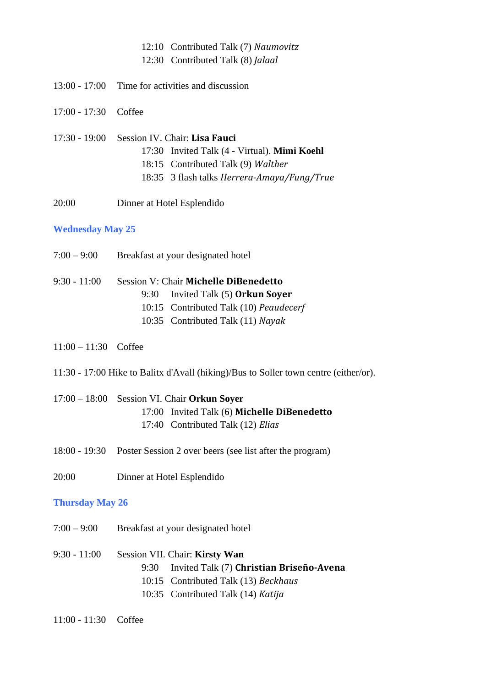#### 12:10 Contributed Talk (7) *Naumovitz*

12:30 Contributed Talk (8) *Jalaal*

- 13:00 17:00 Time for activities and discussion
- 17:00 17:30 Coffee

## 17:30 - 19:00 Session IV. Chair: **Lisa Fauci** 17:30 Invited Talk (4 - Virtual). **Mimi Koehl** 18:15 Contributed Talk (9) *Walther* 18:35 3 flash talks *Herrera-Amaya/Fung/True*

20:00 Dinner at Hotel Esplendido

#### **Wednesday May 25**

- 7:00 9:00 Breakfast at your designated hotel
- 9:30 11:00 Session V: Chair **Michelle DiBenedetto** 9:30 Invited Talk (5) **Orkun Soyer** 10:15 Contributed Talk (10) *Peaudecerf*
	- 10:35 Contributed Talk (11) *Nayak*
- 11:00 11:30 Coffee
- 11:30 17:00 Hike to Balitx d'Avall (hiking)/Bus to Soller town centre (either/or).
- 17:00 18:00 Session VI. Chair **Orkun Soyer** 17:00 Invited Talk (6) **Michelle DiBenedetto** 17:40 Contributed Talk (12) *Elias*
- 18:00 19:30 Poster Session 2 over beers (see list after the program)
- 20:00 Dinner at Hotel Esplendido

#### **Thursday May 26**

- 7:00 9:00 Breakfast at your designated hotel
- 9:30 11:00 Session VII. Chair: **Kirsty Wan** 9:30 Invited Talk (7) **Christian Briseño-Avena**
	- 10:15 Contributed Talk (13) *Beckhaus*
	- 10:35 Contributed Talk (14) *Katija*
- 11:00 11:30 Coffee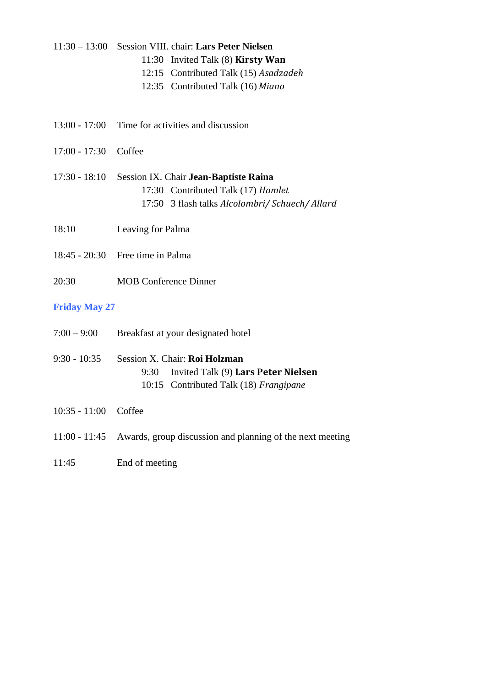#### 11:30 – 13:00 Session VIII. chair: **Lars Peter Nielsen**

- 11:30 Invited Talk (8) **Kirsty Wan**
- 12:15 Contributed Talk (15) *Asadzadeh*
- 12:35 Contributed Talk (16) *Miano*
- 13:00 17:00 Time for activities and discussion
- 17:00 17:30 Coffee
- 17:30 18:10 Session IX. Chair **Jean-Baptiste Raina** 17:30 Contributed Talk (17) *Hamlet* 17:50 3 flash talks *Alcolombri/ Schuech/ Allard*
- 18:10 Leaving for Palma
- 18:45 20:30 Free time in Palma
- 20:30 MOB Conference Dinner

### **Friday May 27**

| $7:00 - 9:00$ | Breakfast at your designated hotel |  |
|---------------|------------------------------------|--|
|               |                                    |  |

- 9:30 10:35 Session X. Chair: **Roi Holzman** 9:30 Invited Talk (9) **Lars Peter Nielsen** 10:15 Contributed Talk (18) *Frangipane*
- 10:35 11:00 Coffee
- 11:00 11:45 Awards, group discussion and planning of the next meeting
- 11:45 End of meeting